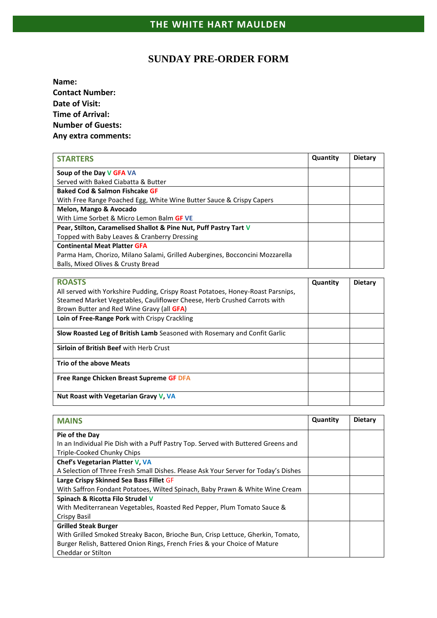## **SUNDAY PRE-ORDER FORM**

**Name: Contact Number: Date of Visit: Time of Arrival: Number of Guests: Any extra comments:**

| <b>STARTERS</b>                                                              | Quantity | <b>Dietary</b> |
|------------------------------------------------------------------------------|----------|----------------|
| Soup of the Day V GFA VA                                                     |          |                |
| Served with Baked Ciabatta & Butter                                          |          |                |
| <b>Baked Cod &amp; Salmon Fishcake GF</b>                                    |          |                |
| With Free Range Poached Egg, White Wine Butter Sauce & Crispy Capers         |          |                |
| Melon, Mango & Avocado                                                       |          |                |
| With Lime Sorbet & Micro Lemon Balm GF VE                                    |          |                |
| Pear, Stilton, Caramelised Shallot & Pine Nut, Puff Pastry Tart V            |          |                |
| Topped with Baby Leaves & Cranberry Dressing                                 |          |                |
| <b>Continental Meat Platter GFA</b>                                          |          |                |
| Parma Ham, Chorizo, Milano Salami, Grilled Aubergines, Bocconcini Mozzarella |          |                |
| Balls, Mixed Olives & Crusty Bread                                           |          |                |

| <b>ROASTS</b>                                                                   | Quantity | <b>Dietary</b> |
|---------------------------------------------------------------------------------|----------|----------------|
| All served with Yorkshire Pudding, Crispy Roast Potatoes, Honey-Roast Parsnips, |          |                |
| Steamed Market Vegetables, Cauliflower Cheese, Herb Crushed Carrots with        |          |                |
| Brown Butter and Red Wine Gravy (all <b>GFA</b> )                               |          |                |
| Loin of Free-Range Pork with Crispy Crackling                                   |          |                |
| Slow Roasted Leg of British Lamb Seasoned with Rosemary and Confit Garlic       |          |                |
| <b>Sirloin of British Beef with Herb Crust</b>                                  |          |                |
| <b>Trio of the above Meats</b>                                                  |          |                |
| Free Range Chicken Breast Supreme GF DFA                                        |          |                |
| Nut Roast with Vegetarian Gravy V, VA                                           |          |                |

| <b>MAINS</b>                                                                       | Quantity | <b>Dietary</b> |
|------------------------------------------------------------------------------------|----------|----------------|
| Pie of the Day                                                                     |          |                |
| In an Individual Pie Dish with a Puff Pastry Top. Served with Buttered Greens and  |          |                |
| Triple-Cooked Chunky Chips                                                         |          |                |
| Chef's Vegetarian Platter V, VA                                                    |          |                |
| A Selection of Three Fresh Small Dishes. Please Ask Your Server for Today's Dishes |          |                |
| Large Crispy Skinned Sea Bass Fillet GF                                            |          |                |
| With Saffron Fondant Potatoes, Wilted Spinach, Baby Prawn & White Wine Cream       |          |                |
| Spinach & Ricotta Filo Strudel V                                                   |          |                |
| With Mediterranean Vegetables, Roasted Red Pepper, Plum Tomato Sauce &             |          |                |
| Crispy Basil                                                                       |          |                |
| <b>Grilled Steak Burger</b>                                                        |          |                |
| With Grilled Smoked Streaky Bacon, Brioche Bun, Crisp Lettuce, Gherkin, Tomato,    |          |                |
| Burger Relish, Battered Onion Rings, French Fries & your Choice of Mature          |          |                |
| Cheddar or Stilton                                                                 |          |                |